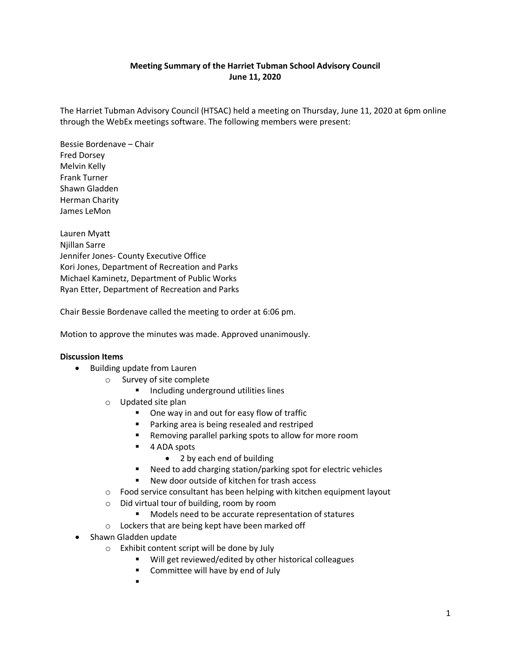# **Meeting Summary of the Harriet Tubman School Advisory Council June 11, 2020**

The Harriet Tubman Advisory Council (HTSAC) held a meeting on Thursday, June 11, 2020 at 6pm online through the WebEx meetings software. The following members were present:

Bessie Bordenave – Chair Fred Dorsey Melvin Kelly Frank Turner Shawn Gladden Herman Charity James LeMon

Lauren Myatt Njillan Sarre Jennifer Jones- County Executive Office Kori Jones, Department of Recreation and Parks Michael Kaminetz, Department of Public Works Ryan Etter, Department of Recreation and Parks

Chair Bessie Bordenave called the meeting to order at 6:06 pm.

Motion to approve the minutes was made. Approved unanimously.

## **Discussion Items**

- Building update from Lauren
	- o Survey of site complete
		- **Including underground utilities lines**
	- o Updated site plan
		- One way in and out for easy flow of traffic
		- **Parking area is being resealed and restriped**
		- Removing parallel parking spots to allow for more room
		- 4 ADA spots
			- 2 by each end of building
		- Need to add charging station/parking spot for electric vehicles
		- New door outside of kitchen for trash access
	- o Food service consultant has been helping with kitchen equipment layout
	- o Did virtual tour of building, room by room
		- **Models need to be accurate representation of statures**
	- o Lockers that are being kept have been marked off
- Shawn Gladden update
	- o Exhibit content script will be done by July
		- Will get reviewed/edited by other historical colleagues
		- **EXECOMMITTEE WILL HAVE BY END OF JULY**
		- $\blacksquare$